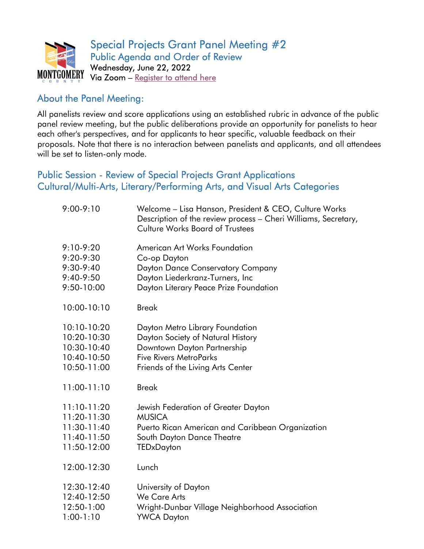

## About the Panel Meeting:

All panelists review and score applications using an established rubric in advance of the public panel review meeting, but the public deliberations provide an opportunity for panelists to hear each other's perspectives, and for applicants to hear specific, valuable feedback on their proposals. Note that there is no interaction between panelists and applicants, and all attendees will be set to listen-only mode.

### Public Session - Review of Special Projects Grant Applications Cultural/Multi-Arts, Literary/Performing Arts, and Visual Arts Categories

| $9:00-9:10$   | Welcome - Lisa Hanson, President & CEO, Culture Works<br>Description of the review process - Cheri Williams, Secretary,<br><b>Culture Works Board of Trustees</b> |
|---------------|-------------------------------------------------------------------------------------------------------------------------------------------------------------------|
| $9:10-9:20$   | <b>American Art Works Foundation</b>                                                                                                                              |
| $9:20 - 9:30$ | Co-op Dayton                                                                                                                                                      |
| $9:30-9:40$   | Dayton Dance Conservatory Company                                                                                                                                 |
| 9:40-9:50     | Dayton Liederkranz-Turners, Inc                                                                                                                                   |
| 9:50-10:00    | Dayton Literary Peace Prize Foundation                                                                                                                            |
| 10:00-10:10   | <b>Break</b>                                                                                                                                                      |
| $10:10-10:20$ | Dayton Metro Library Foundation                                                                                                                                   |
| 10:20-10:30   | Dayton Society of Natural History                                                                                                                                 |
| 10:30-10:40   | Downtown Dayton Partnership                                                                                                                                       |
| 10:40-10:50   | <b>Five Rivers MetroParks</b>                                                                                                                                     |
| 10:50-11:00   | Friends of the Living Arts Center                                                                                                                                 |
| $11:00-11:10$ | <b>Break</b>                                                                                                                                                      |
| $11:10-11:20$ | Jewish Federation of Greater Dayton                                                                                                                               |
| 11:20-11:30   | <b>MUSICA</b>                                                                                                                                                     |
| 11:30-11:40   | Puerto Rican American and Caribbean Organization                                                                                                                  |
| 11:40-11:50   | South Dayton Dance Theatre                                                                                                                                        |
| 11:50-12:00   | TEDxDayton                                                                                                                                                        |
| 12:00-12:30   | Lunch                                                                                                                                                             |
| 12:30-12:40   | University of Dayton                                                                                                                                              |
| 12:40-12:50   | <b>We Care Arts</b>                                                                                                                                               |
| 12:50-1:00    | Wright-Dunbar Village Neighborhood Association                                                                                                                    |
| $1:00-1:10$   | <b>YWCA Dayton</b>                                                                                                                                                |